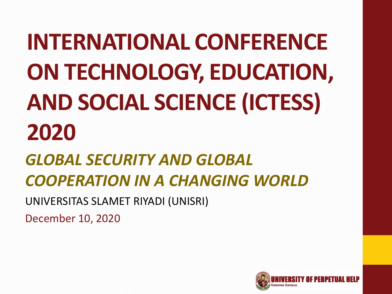**INTERNATIONAL CONFERENCE ON TECHNOLOGY, EDUCATION, AND SOCIAL SCIENCE (ICTESS) 2020**

*GLOBAL SECURITY AND GLOBAL COOPERATION IN A CHANGING WORLD*

UNIVERSITAS SLAMET RIYADI (UNISRI)

December 10, 2020

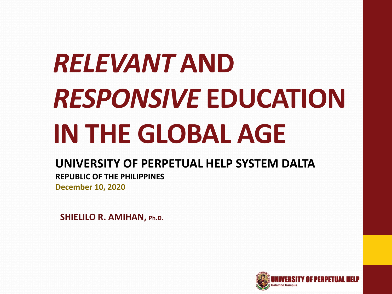# *RELEVANT* **AND**  *RESPONSIVE* **EDUCATION IN THE GLOBAL AGE**

#### **UNIVERSITY OF PERPETUAL HELP SYSTEM DALTA**

**REPUBLIC OF THE PHILIPPINES**

**December 10, 2020**

**SHIELILO R. AMIHAN, Ph.D.**

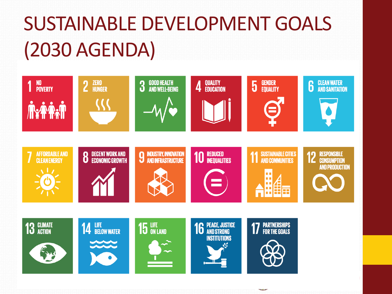#### SUSTAINABLE DEVELOPMENT GOALS (2030 AGENDA)

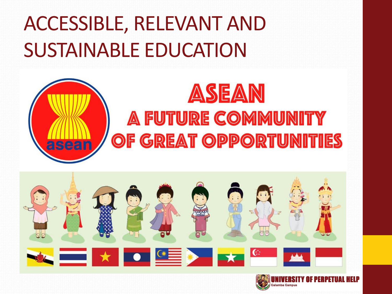#### ACCESSIBLE, RELEVANT AND SUSTAINABLE EDUCATION





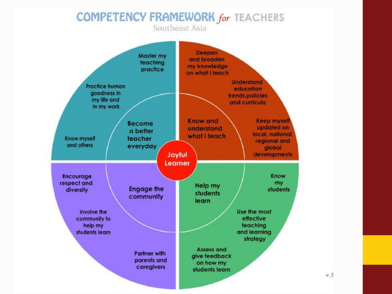#### **COMPETENCY FRAMEWORK for TEACHERS**

Southeast Asia



 $v.$  S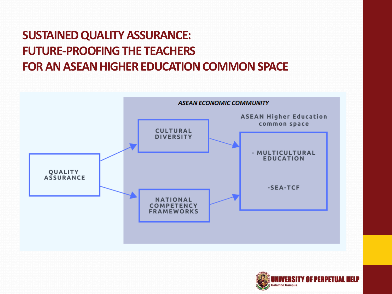#### **SUSTAINED QUALITY ASSURANCE: FUTURE-PROOFING THE TEACHERS FOR AN ASEAN HIGHER EDUCATION COMMON SPACE**

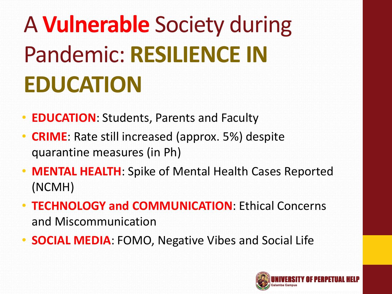## A **Vulnerable** Society during Pandemic: **RESILIENCE IN EDUCATION**

- **EDUCATION**: Students, Parents and Faculty
- **CRIME**: Rate still increased (approx. 5%) despite quarantine measures (in Ph)
- **MENTAL HEALTH**: Spike of Mental Health Cases Reported (NCMH)
- **TECHNOLOGY and COMMUNICATION**: Ethical Concerns and Miscommunication
- **SOCIAL MEDIA**: FOMO, Negative Vibes and Social Life

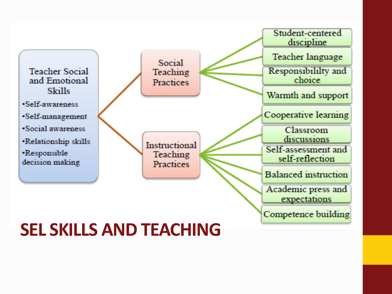

#### **SEL SKILLS AND TEACHING**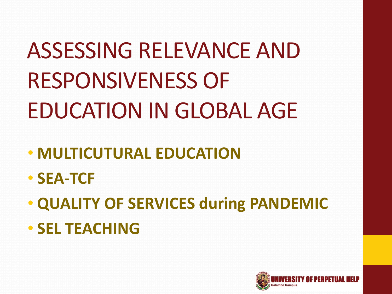

- **SEL TEACHING**
- **QUALITY OF SERVICES during PANDEMIC**
- **SEA-TCF**
- **MULTICUTURAL EDUCATION**

ASSESSING RELEVANCE AND RESPONSIVENESS OF EDUCATION IN GLOBAL AGE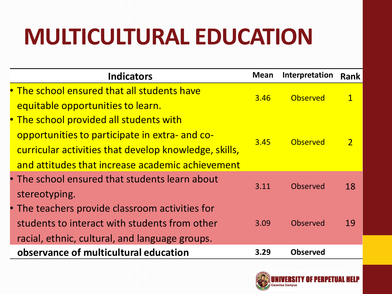### **MULTICULTURAL EDUCATION**

| <b>Indicators</b>                                     | <b>Mean</b> | Interpretation  | <b>Rank</b> |
|-------------------------------------------------------|-------------|-----------------|-------------|
| • The school ensured that all students have           |             | Observed        |             |
| equitable opportunities to learn.                     | 3.46        |                 |             |
| • The school provided all students with               |             |                 |             |
| opportunities to participate in extra- and co-        |             | Observed        |             |
| curricular activities that develop knowledge, skills, | 3.45        |                 |             |
| and attitudes that increase academic achievement      |             |                 |             |
| • The school ensured that students learn about        | 3.11        | Observed        | 18          |
| stereotyping.                                         |             |                 |             |
| • The teachers provide classroom activities for       |             |                 |             |
| students to interact with students from other         | 3.09        | Observed        | 19          |
| racial, ethnic, cultural, and language groups.        |             |                 |             |
| observance of multicultural education                 | 3.29        | <b>Observed</b> |             |

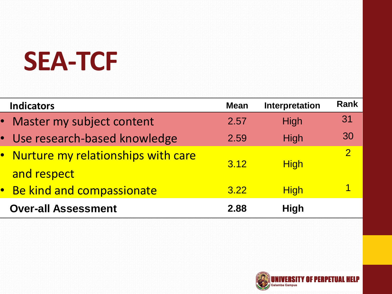## **SEA-TCF**

| <b>Indicators</b>                                   | <b>Mean</b> | Interpretation | <b>Rank</b>              |
|-----------------------------------------------------|-------------|----------------|--------------------------|
| • Master my subject content                         | 2.57        | High           | 31                       |
| • Use research-based knowledge                      | 2.59        | High           | 30                       |
| • Nurture my relationships with care<br>and respect | 3.12        | <b>High</b>    | $\overline{\mathcal{P}}$ |
| Be kind and compassionate<br>$ \bullet $            | 3.22        | <b>High</b>    | 1                        |
| <b>Over-all Assessment</b>                          | 2.88        | <b>High</b>    |                          |

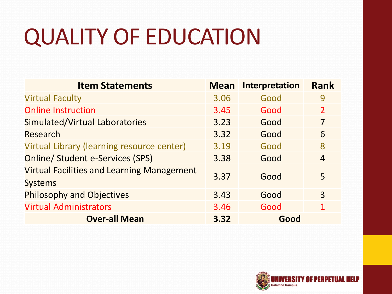### QUALITY OF EDUCATION

| <b>Item Statements</b>                                              | <b>Mean</b> | <b>Interpretation</b> | <b>Rank</b>    |
|---------------------------------------------------------------------|-------------|-----------------------|----------------|
| <b>Virtual Faculty</b>                                              | 3.06        | Good                  | 9              |
| <b>Online Instruction</b>                                           | 3.45        | Good                  | $\overline{2}$ |
| Simulated/Virtual Laboratories                                      | 3.23        | Good                  | 7              |
| Research                                                            | 3.32        | Good                  | 6              |
| Virtual Library (learning resource center)                          | 3.19        | Good                  | 8              |
| <b>Online/ Student e-Services (SPS)</b>                             | 3.38        | Good                  | $\overline{4}$ |
| <b>Virtual Facilities and Learning Management</b><br><b>Systems</b> | 3.37        | Good                  | 5              |
| <b>Philosophy and Objectives</b>                                    | 3.43        | Good                  | 3              |
| <b>Virtual Administrators</b>                                       | 3.46        | Good                  | 1              |
| <b>Over-all Mean</b>                                                | 3.32        | Good                  |                |

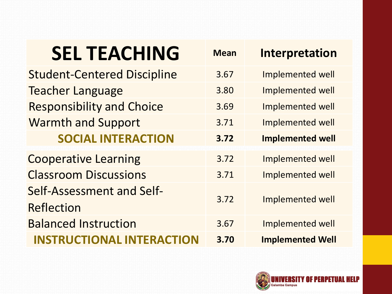| <b>SEL TEACHING</b>                     | <b>Mean</b> | Interpretation          |
|-----------------------------------------|-------------|-------------------------|
| <b>Student-Centered Discipline</b>      | 3.67        | Implemented well        |
| <b>Teacher Language</b>                 | 3.80        | Implemented well        |
| <b>Responsibility and Choice</b>        | 3.69        | <b>Implemented well</b> |
| <b>Warmth and Support</b>               | 3.71        | <b>Implemented well</b> |
| <b>SOCIAL INTERACTION</b>               | 3.72        | <b>Implemented well</b> |
| <b>Cooperative Learning</b>             | 3.72        | Implemented well        |
| <b>Classroom Discussions</b>            | 3.71        | Implemented well        |
| Self-Assessment and Self-<br>Reflection | 3.72        | <b>Implemented well</b> |
| <b>Balanced Instruction</b>             | 3.67        | Implemented well        |
| <b>INSTRUCTIONAL INTERACTION</b>        | 3.70        | <b>Implemented Well</b> |

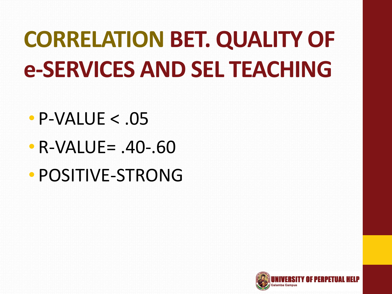### **CORRELATION BET. QUALITY OF e-SERVICES AND SEL TEACHING**

- $\cdot$  P-VALUE  $< 0.05$
- R-VALUE= .40-.60
- POSITIVE-STRONG

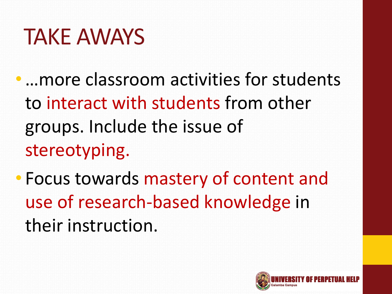#### TAKE AWAYS

- ... more classroom activities for students to interact with students from other groups. Include the issue of stereotyping.
- Focus towards mastery of content and use of research-based knowledge in their instruction.

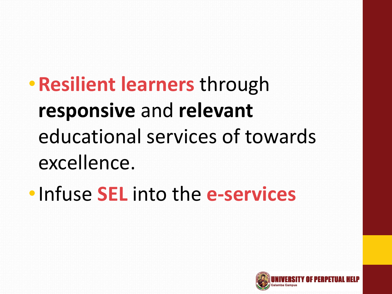•**Resilient learners** through **responsive** and **relevant** educational services of towards excellence.

•Infuse **SEL** into the **e-services**